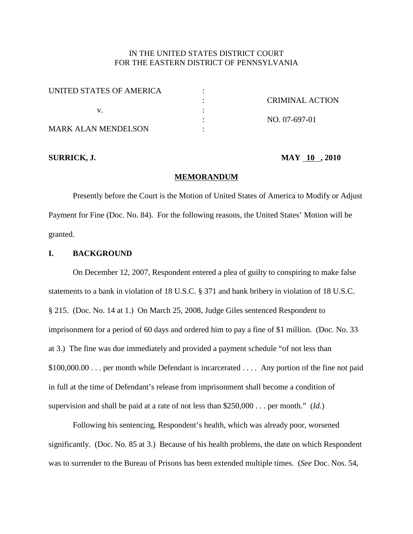# IN THE UNITED STATES DISTRICT COURT FOR THE EASTERN DISTRICT OF PENNSYLVANIA

| UNITED STATES OF AMERICA |                 |
|--------------------------|-----------------|
|                          | CRIMINAL ACTION |
|                          |                 |
|                          | NO. 07-697-01   |
| MARK ALAN MENDELSON      |                 |

## **SURRICK, J. MAY 10 , 2010**

#### **MEMORANDUM**

Presently before the Court is the Motion of United States of America to Modify or Adjust Payment for Fine (Doc. No. 84). For the following reasons, the United States' Motion will be granted.

# **I. BACKGROUND**

On December 12, 2007, Respondent entered a plea of guilty to conspiring to make false statements to a bank in violation of 18 U.S.C. § 371 and bank bribery in violation of 18 U.S.C. § 215. (Doc. No. 14 at 1.) On March 25, 2008, Judge Giles sentenced Respondent to imprisonment for a period of 60 days and ordered him to pay a fine of \$1 million. (Doc. No. 33 at 3.) The fine was due immediately and provided a payment schedule "of not less than \$100,000.00 . . . per month while Defendant is incarcerated . . . . Any portion of the fine not paid in full at the time of Defendant's release from imprisonment shall become a condition of supervision and shall be paid at a rate of not less than \$250,000 . . . per month." (*Id.*)

Following his sentencing, Respondent's health, which was already poor, worsened significantly. (Doc. No. 85 at 3.) Because of his health problems, the date on which Respondent was to surrender to the Bureau of Prisons has been extended multiple times. (*See* Doc. Nos. 54,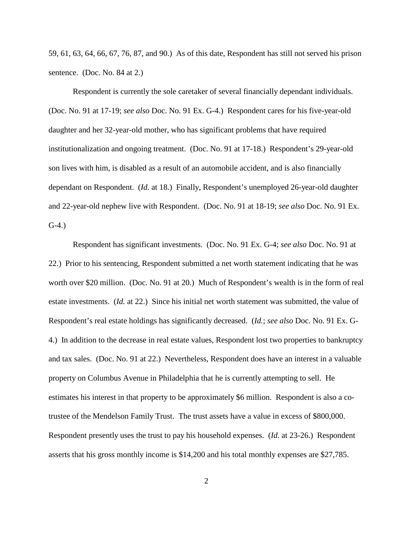59, 61, 63, 64, 66, 67, 76, 87, and 90.) As of this date, Respondent has still not served his prison sentence. (Doc. No. 84 at 2.)

Respondent is currently the sole caretaker of several financially dependant individuals. (Doc. No. 91 at 17-19; *see also* Doc. No. 91 Ex. G-4.) Respondent cares for his five-year-old daughter and her 32-year-old mother, who has significant problems that have required institutionalization and ongoing treatment. (Doc. No. 91 at 17-18.) Respondent's 29-year-old son lives with him, is disabled as a result of an automobile accident, and is also financially dependant on Respondent. (*Id.* at 18.) Finally, Respondent's unemployed 26-year-old daughter and 22-year-old nephew live with Respondent. (Doc. No. 91 at 18-19; *see also* Doc. No. 91 Ex. G-4.)

Respondent has significant investments. (Doc. No. 91 Ex. G-4; *see also* Doc. No. 91 at 22.) Prior to his sentencing, Respondent submitted a net worth statement indicating that he was worth over \$20 million. (Doc. No. 91 at 20.) Much of Respondent's wealth is in the form of real estate investments. (*Id.* at 22.) Since his initial net worth statement was submitted, the value of Respondent's real estate holdings has significantly decreased. (*Id.*; *see also* Doc. No. 91 Ex. G-4.) In addition to the decrease in real estate values, Respondent lost two properties to bankruptcy and tax sales. (Doc. No. 91 at 22.) Nevertheless, Respondent does have an interest in a valuable property on Columbus Avenue in Philadelphia that he is currently attempting to sell. He estimates his interest in that property to be approximately \$6 million. Respondent is also a cotrustee of the Mendelson Family Trust. The trust assets have a value in excess of \$800,000. Respondent presently uses the trust to pay his household expenses. (*Id.* at 23-26.) Respondent asserts that his gross monthly income is \$14,200 and his total monthly expenses are \$27,785.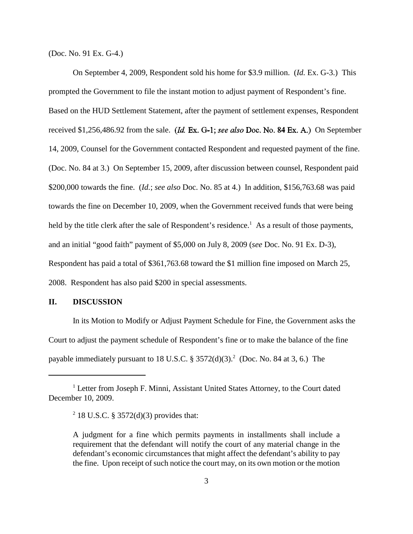(Doc. No. 91 Ex. G-4.)

On September 4, 2009, Respondent sold his home for \$3.9 million. (*Id.* Ex. G-3.) This prompted the Government to file the instant motion to adjust payment of Respondent's fine. Based on the HUD Settlement Statement, after the payment of settlement expenses, Respondent received \$1,256,486.92 from the sale. (*Id. Ex. G-1; see also Doc. No.* 84 Ex. A.) On September 14, 2009, Counsel for the Government contacted Respondent and requested payment of the fine. (Doc. No. 84 at 3.) On September 15, 2009, after discussion between counsel, Respondent paid \$200,000 towards the fine. (*Id.*; *see also* Doc. No. 85 at 4.) In addition, \$156,763.68 was paid towards the fine on December 10, 2009, when the Government received funds that were being held by the title clerk after the sale of Respondent's residence.<sup>1</sup> As a result of those payments, and an initial "good faith" payment of \$5,000 on July 8, 2009 (*see* Doc. No. 91 Ex. D-3), Respondent has paid a total of \$361,763.68 toward the \$1 million fine imposed on March 25, 2008. Respondent has also paid \$200 in special assessments.

# **II. DISCUSSION**

In its Motion to Modify or Adjust Payment Schedule for Fine, the Government asks the Court to adjust the payment schedule of Respondent's fine or to make the balance of the fine payable immediately pursuant to 18 U.S.C. § 3572(d)(3).<sup>2</sup> (Doc. No. 84 at 3, 6.) The

<sup>&</sup>lt;sup>1</sup> Letter from Joseph F. Minni, Assistant United States Attorney, to the Court dated December 10, 2009.

<sup>&</sup>lt;sup>2</sup> 18 U.S.C. § 3572(d)(3) provides that:

A judgment for a fine which permits payments in installments shall include a requirement that the defendant will notify the court of any material change in the defendant's economic circumstances that might affect the defendant's ability to pay the fine. Upon receipt of such notice the court may, on its own motion or the motion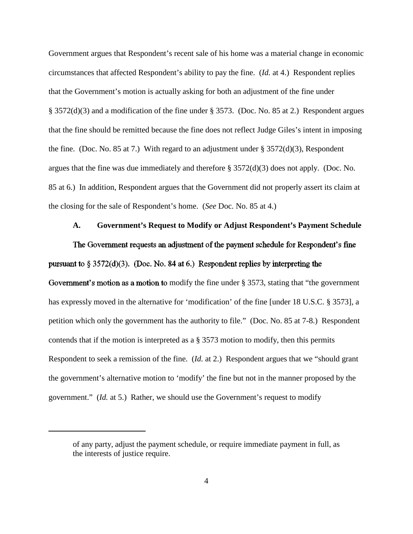Government argues that Respondent's recent sale of his home was a material change in economic circumstances that affected Respondent's ability to pay the fine. (*Id.* at 4.) Respondent replies that the Government's motion is actually asking for both an adjustment of the fine under § 3572(d)(3) and a modification of the fine under § 3573. (Doc. No. 85 at 2.) Respondent argues that the fine should be remitted because the fine does not reflect Judge Giles's intent in imposing the fine. (Doc. No. 85 at 7.) With regard to an adjustment under  $\S 3572(d)(3)$ , Respondent argues that the fine was due immediately and therefore § 3572(d)(3) does not apply. (Doc. No. 85 at 6.) In addition, Respondent argues that the Government did not properly assert its claim at the closing for the sale of Respondent's home. (*See* Doc. No. 85 at 4.)

# **A. Government's Request to Modify or Adjust Respondent's Payment Schedule**

The Government requests an adjustment of the payment schedule for Respondent's fine pursuant to  $\S 3572(d)(3)$ . (Doc. No. 84 at 6.) Respondent replies by interpreting the

Government's motion as a motion to modify the fine under  $\S$  3573, stating that "the government" has expressly moved in the alternative for 'modification' of the fine [under 18 U.S.C. § 3573], a petition which only the government has the authority to file." (Doc. No. 85 at 7-8.) Respondent contends that if the motion is interpreted as a § 3573 motion to modify, then this permits Respondent to seek a remission of the fine. (*Id.* at 2.) Respondent argues that we "should grant the government's alternative motion to 'modify' the fine but not in the manner proposed by the government." (*Id.* at 5.) Rather, we should use the Government's request to modify

of any party, adjust the payment schedule, or require immediate payment in full, as the interests of justice require.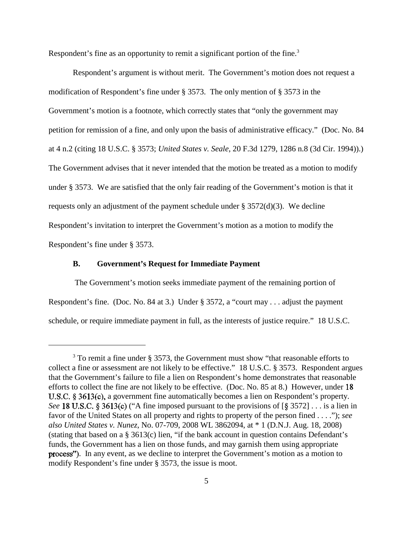Respondent's fine as an opportunity to remit a significant portion of the fine.<sup>3</sup>

Respondent's argument is without merit. The Government's motion does not request a modification of Respondent's fine under § 3573. The only mention of § 3573 in the Government's motion is a footnote, which correctly states that "only the government may petition for remission of a fine, and only upon the basis of administrative efficacy." (Doc. No. 84 at 4 n.2 (citing 18 U.S.C. § 3573; *United States v. Seale*, 20 F.3d 1279, 1286 n.8 (3d Cir. 1994)).) The Government advises that it never intended that the motion be treated as a motion to modify under § 3573. We are satisfied that the only fair reading of the Government's motion is that it requests only an adjustment of the payment schedule under  $\S 3572(d)(3)$ . We decline Respondent's invitation to interpret the Government's motion as a motion to modify the Respondent's fine under § 3573.

# **B. Government's Request for Immediate Payment**

The Government's motion seeks immediate payment of the remaining portion of Respondent's fine. (Doc. No. 84 at 3.) Under § 3572, a "court may . . . adjust the payment schedule, or require immediate payment in full, as the interests of justice require." 18 U.S.C.

<sup>&</sup>lt;sup>3</sup> To remit a fine under § 3573, the Government must show "that reasonable efforts to collect a fine or assessment are not likely to be effective." 18 U.S.C. § 3573. Respondent argues that the Government's failure to file a lien on Respondent's home demonstrates that reasonable efforts to collect the fine are not likely to be effective. (Doc. No. 85 at 8.) However, under 18 U.S.C.  $\S 3613(c)$ , a government fine automatically becomes a lien on Respondent's property. *See* 18 U.S.C. § 3613(c) ("A fine imposed pursuant to the provisions of  $\S$  3572] . . . is a lien in favor of the United States on all property and rights to property of the person fined . . . ."); *see also United States v. Nunez*, No. 07-709, 2008 WL 3862094, at \* 1 (D.N.J. Aug. 18, 2008) (stating that based on a § 3613(c) lien, "if the bank account in question contains Defendant's funds, the Government has a lien on those funds, and may garnish them using appropriate **process**"). In any event, as we decline to interpret the Government's motion as a motion to modify Respondent's fine under § 3573, the issue is moot.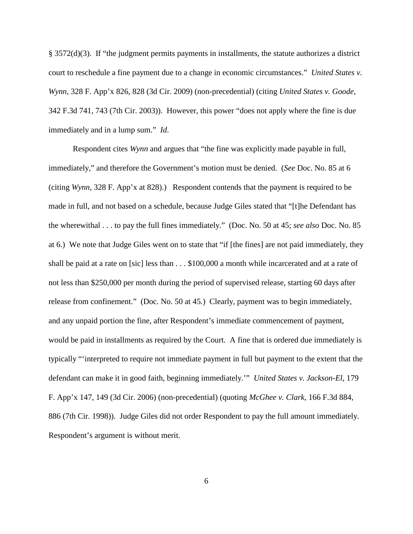§ 3572(d)(3). If "the judgment permits payments in installments, the statute authorizes a district court to reschedule a fine payment due to a change in economic circumstances." *United States v. Wynn*, 328 F. App'x 826, 828 (3d Cir. 2009) (non-precedential) (citing *United States v. Goode*, 342 F.3d 741, 743 (7th Cir. 2003)). However, this power "does not apply where the fine is due immediately and in a lump sum." *Id*.

Respondent cites *Wynn* and argues that "the fine was explicitly made payable in full, immediately," and therefore the Government's motion must be denied. (*See* Doc. No. 85 at 6 (citing *Wynn*, 328 F. App'x at 828).) Respondent contends that the payment is required to be made in full, and not based on a schedule, because Judge Giles stated that "[t]he Defendant has the wherewithal . . . to pay the full fines immediately." (Doc. No. 50 at 45; *see also* Doc. No. 85 at 6.) We note that Judge Giles went on to state that "if [the fines] are not paid immediately, they shall be paid at a rate on [sic] less than . . . \$100,000 a month while incarcerated and at a rate of not less than \$250,000 per month during the period of supervised release, starting 60 days after release from confinement." (Doc. No. 50 at 45*.*) Clearly, payment was to begin immediately, and any unpaid portion the fine, after Respondent's immediate commencement of payment, would be paid in installments as required by the Court. A fine that is ordered due immediately is typically "'interpreted to require not immediate payment in full but payment to the extent that the defendant can make it in good faith, beginning immediately.'" *United States v. Jackson-El*, 179 F. App'x 147, 149 (3d Cir. 2006) (non-precedential) (quoting *McGhee v. Clark*, 166 F.3d 884, 886 (7th Cir. 1998)). Judge Giles did not order Respondent to pay the full amount immediately. Respondent's argument is without merit.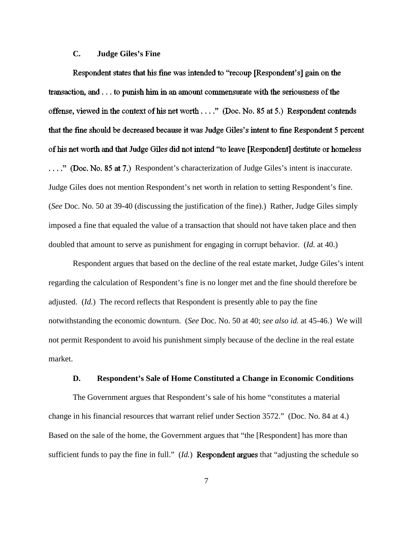# **C. Judge Giles's Fine**

Respondent states that his fine was intended to "recoup [Respondent's] gain on the transaction, and . . . to punish him in an amount commensurate with the seriousness of the offense, viewed in the context of his net worth . . . ." (Doc. No. 85 at 5.) Respondent contends that the fine should be decreased because it was Judge Giles's intent to fine Respondent 5 percent of his net worth and that Judge Giles did not intend "to leave [Respondent] destitute or homeless ...." (Doc. No. 85 at 7.) Respondent's characterization of Judge Giles's intent is inaccurate. Judge Giles does not mention Respondent's net worth in relation to setting Respondent's fine. (*See* Doc. No. 50 at 39-40 (discussing the justification of the fine).) Rather, Judge Giles simply imposed a fine that equaled the value of a transaction that should not have taken place and then doubled that amount to serve as punishment for engaging in corrupt behavior. (*Id.* at 40.)

Respondent argues that based on the decline of the real estate market, Judge Giles's intent regarding the calculation of Respondent's fine is no longer met and the fine should therefore be adjusted. (*Id.*) The record reflects that Respondent is presently able to pay the fine notwithstanding the economic downturn. (*See* Doc. No. 50 at 40; *see also id.* at 45-46.) We will not permit Respondent to avoid his punishment simply because of the decline in the real estate market.

### **D. Respondent's Sale of Home Constituted a Change in Economic Conditions**

The Government argues that Respondent's sale of his home "constitutes a material change in his financial resources that warrant relief under Section 3572." (Doc. No. 84 at 4.) Based on the sale of the home, the Government argues that "the [Respondent] has more than sufficient funds to pay the fine in full."  $(Id.)$  **Respondent argues** that "adjusting the schedule so

7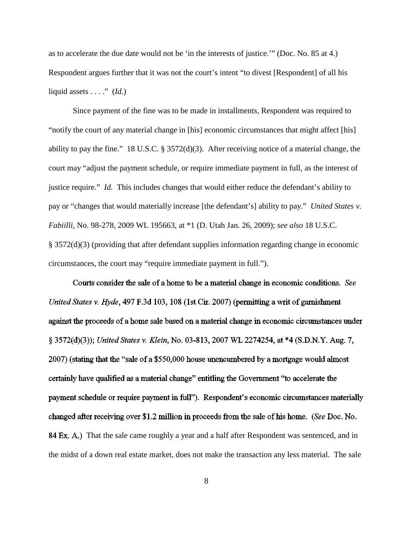as to accelerate the due date would not be 'in the interests of justice.'" (Doc. No. 85 at 4.) Respondent argues further that it was not the court's intent "to divest [Respondent] of all his liquid assets  $\dots$  ." (*Id.*)

Since payment of the fine was to be made in installments, Respondent was required to "notify the court of any material change in [his] economic circumstances that might affect [his] ability to pay the fine." 18 U.S.C. § 3572(d)(3). After receiving notice of a material change, the court may "adjust the payment schedule, or require immediate payment in full, as the interest of justice require." *Id.* This includes changes that would either reduce the defendant's ability to pay or "changes that would materially increase [the defendant's] ability to pay." *United States v. Fabiilli*, No. 98-278, 2009 WL 195663, at \*1 (D. Utah Jan. 26, 2009); *see also* 18 U.S.C. § 3572(d)(3) (providing that after defendant supplies information regarding change in economic circumstances, the court may "require immediate payment in full.").

Courts consider the sale of a home to be a material change in economic conditions. See United States v. Hyde, 497 F.3d 103, 108 (1st Cir. 2007) (permitting a writ of garnishment against the proceeds of a home sale based on a material change in economic circumstances under § 3572(d)(3)); United States v. Klein, No. 03-813, 2007 WL 2274254, at \*4 (S.D.N.Y. Aug. 7, 2007) (stating that the "sale of a \$550,000 house unencumbered by a mortgage would almost certainly have qualified as a material change" entitling the Government "to accelerate the payment schedule or require payment in full"). Respondent's economic circumstances materially changed after receiving over \$1.2 million in proceeds from the sale of his home. (See Doc. No. 84 Ex. A.) That the sale came roughly a year and a half after Respondent was sentenced, and in the midst of a down real estate market, does not make the transaction any less material. The sale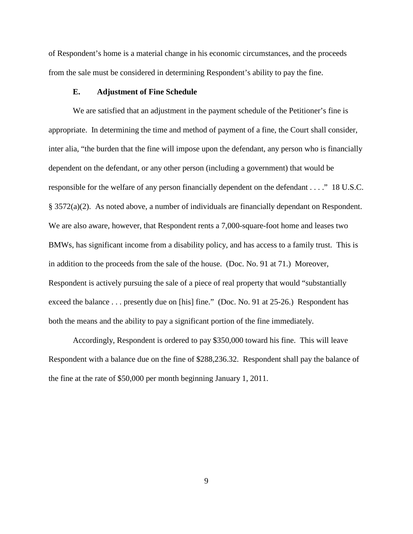of Respondent's home is a material change in his economic circumstances, and the proceeds from the sale must be considered in determining Respondent's ability to pay the fine.

### **E. Adjustment of Fine Schedule**

We are satisfied that an adjustment in the payment schedule of the Petitioner's fine is appropriate. In determining the time and method of payment of a fine, the Court shall consider, inter alia, "the burden that the fine will impose upon the defendant, any person who is financially dependent on the defendant, or any other person (including a government) that would be responsible for the welfare of any person financially dependent on the defendant . . . ." 18 U.S.C. § 3572(a)(2). As noted above, a number of individuals are financially dependant on Respondent. We are also aware, however, that Respondent rents a 7,000-square-foot home and leases two BMWs, has significant income from a disability policy, and has access to a family trust. This is in addition to the proceeds from the sale of the house. (Doc. No. 91 at 71.) Moreover, Respondent is actively pursuing the sale of a piece of real property that would "substantially exceed the balance . . . presently due on [his] fine." (Doc. No. 91 at 25-26.) Respondent has both the means and the ability to pay a significant portion of the fine immediately.

Accordingly, Respondent is ordered to pay \$350,000 toward his fine. This will leave Respondent with a balance due on the fine of \$288,236.32. Respondent shall pay the balance of the fine at the rate of \$50,000 per month beginning January 1, 2011.

9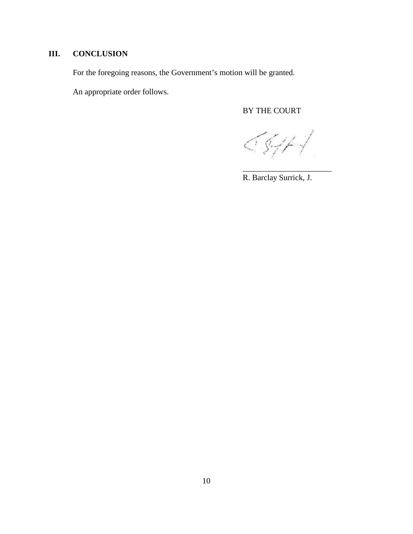# **III. CONCLUSION**

For the foregoing reasons, the Government's motion will be granted.

An appropriate order follows.

# BY THE COURT

5.GH-1

\_\_\_\_\_\_\_\_\_\_\_\_\_\_\_\_\_\_\_\_\_\_

R. Barclay Surrick, J.